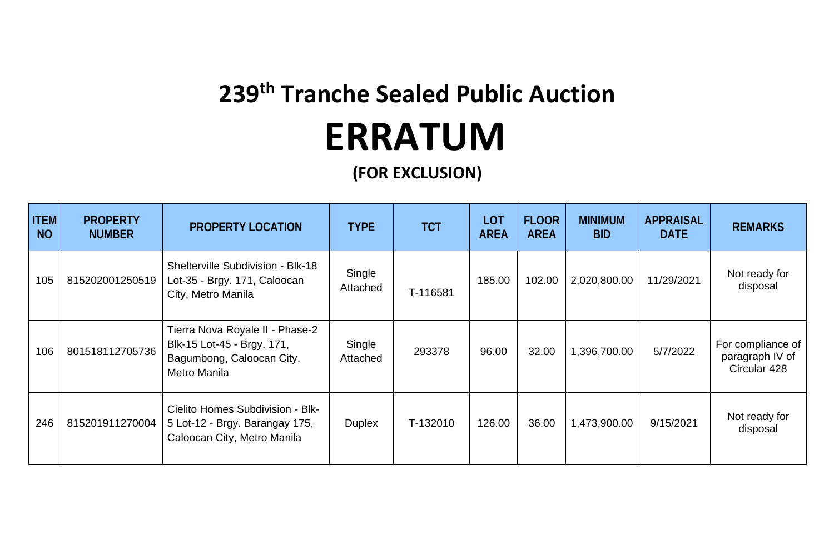## **239 th Tranche Sealed Public Auction ERRATUM**

**(FOR EXCLUSION)**

| <b>ITEM</b><br><b>NO</b> | <b>PROPERTY</b><br><b>NUMBER</b> | PROPERTY LOCATION                                                                                          | <b>TYPE</b>        | <b>TCT</b> | LOT<br><b>AREA</b> | <b>FLOOR</b><br><b>AREA</b> | <b>MINIMUM</b><br><b>BID</b> | APPRAISAL<br><b>DATE</b> | <b>REMARKS</b>                                       |
|--------------------------|----------------------------------|------------------------------------------------------------------------------------------------------------|--------------------|------------|--------------------|-----------------------------|------------------------------|--------------------------|------------------------------------------------------|
| 105                      | 815202001250519                  | Shelterville Subdivision - Blk-18<br>Lot-35 - Brgy. 171, Caloocan<br>City, Metro Manila                    | Single<br>Attached | T-116581   | 185.00             | 102.00                      | 2,020,800.00                 | 11/29/2021               | Not ready for<br>disposal                            |
| 106                      | 801518112705736                  | Tierra Nova Royale II - Phase-2<br>Blk-15 Lot-45 - Brgy. 171,<br>Bagumbong, Caloocan City,<br>Metro Manila | Single<br>Attached | 293378     | 96.00              | 32.00                       | 1,396,700.00                 | 5/7/2022                 | For compliance of<br>paragraph IV of<br>Circular 428 |
| 246                      | 815201911270004                  | Cielito Homes Subdivision - Blk-<br>5 Lot-12 - Brgy. Barangay 175,<br>Caloocan City, Metro Manila          | <b>Duplex</b>      | T-132010   | 126.00             | 36.00                       | 1,473,900.00                 | 9/15/2021                | Not ready for<br>disposal                            |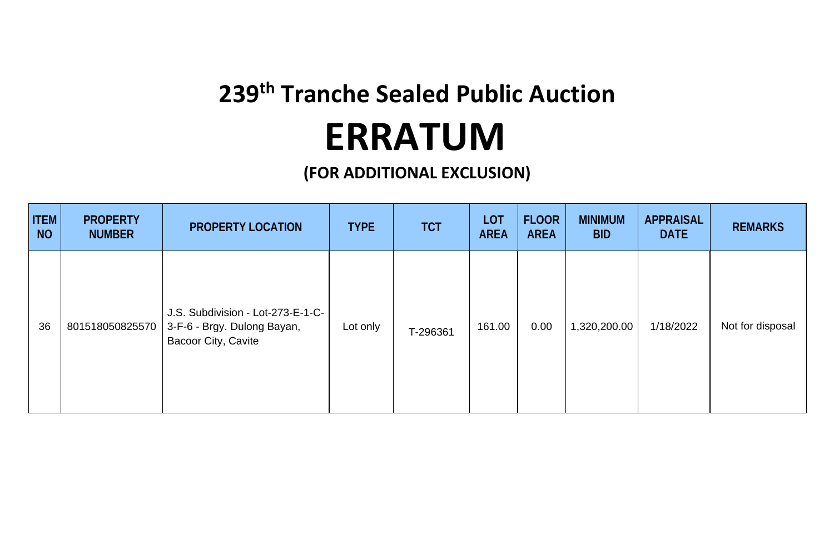## **239th Tranche Sealed Public Auction ERRATUM**

**(FOR ADDITIONAL EXCLUSION)** 

| <b>ITEM</b><br><b>NO</b> | <b>PROPERTY</b><br><b>NUMBER</b> | PROPERTY LOCATION                                                                       | <b>TYPE</b> | <b>TCT</b> | LOT<br><b>AREA</b> | <b>FLOOR</b><br><b>AREA</b> | <b>MINIMUM</b><br><b>BID</b> | APPRAISAL<br><b>DATE</b> | <b>REMARKS</b>   |
|--------------------------|----------------------------------|-----------------------------------------------------------------------------------------|-------------|------------|--------------------|-----------------------------|------------------------------|--------------------------|------------------|
| 36                       | 801518050825570                  | J.S. Subdivision - Lot-273-E-1-C-<br>3-F-6 - Brgy. Dulong Bayan,<br>Bacoor City, Cavite | Lot only    | T-296361   | 161.00             | 0.00                        | 1,320,200.00                 | 1/18/2022                | Not for disposal |